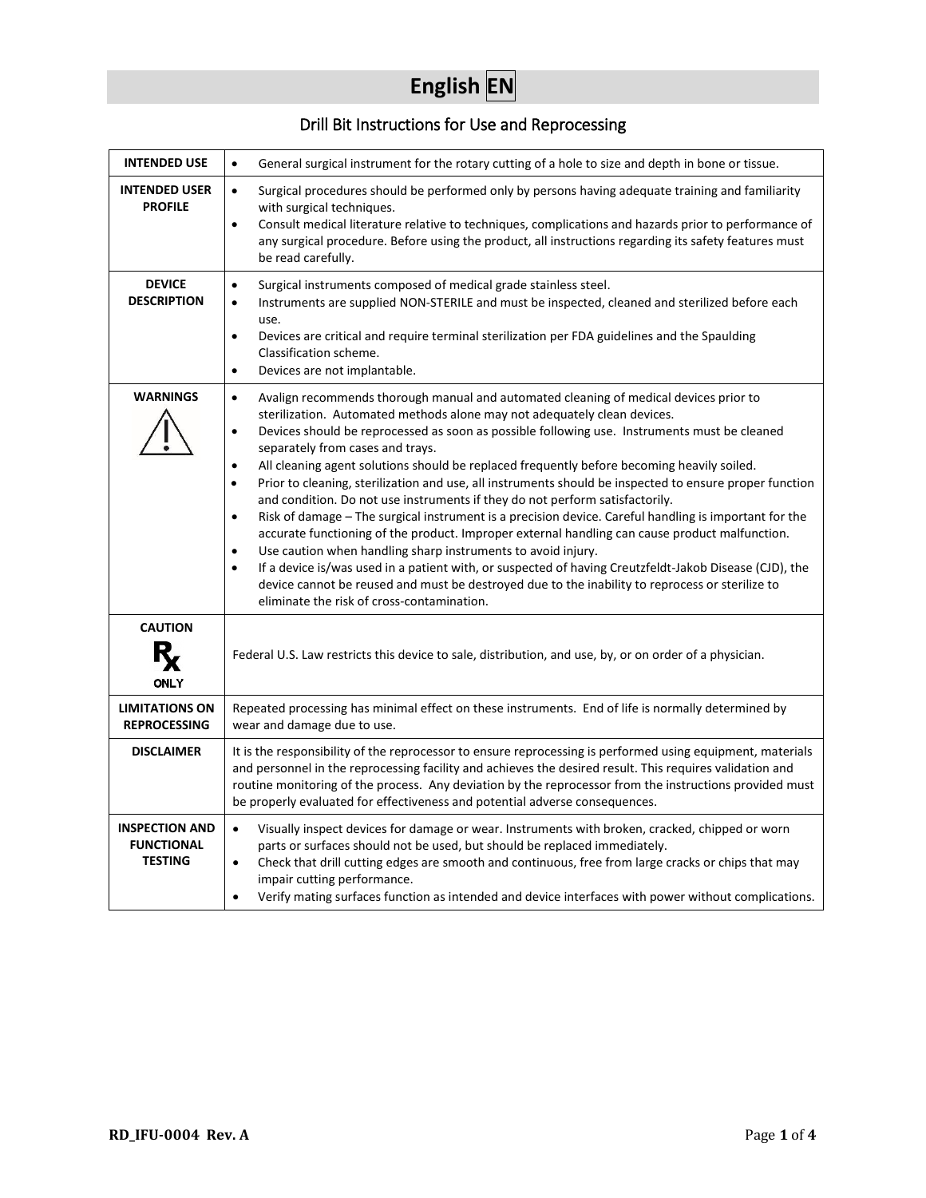# **English EN**

## Drill Bit Instructions for Use and Reprocessing

| <b>INTENDED USE</b>                                          | General surgical instrument for the rotary cutting of a hole to size and depth in bone or tissue.<br>$\bullet$                                                                                                                                                                                                                                                                                                                                                                                                                                                                                                                                                                                                                                                                                                                                                                                                                                                                                                                                                                                                                                                                                                          |  |  |
|--------------------------------------------------------------|-------------------------------------------------------------------------------------------------------------------------------------------------------------------------------------------------------------------------------------------------------------------------------------------------------------------------------------------------------------------------------------------------------------------------------------------------------------------------------------------------------------------------------------------------------------------------------------------------------------------------------------------------------------------------------------------------------------------------------------------------------------------------------------------------------------------------------------------------------------------------------------------------------------------------------------------------------------------------------------------------------------------------------------------------------------------------------------------------------------------------------------------------------------------------------------------------------------------------|--|--|
| <b>INTENDED USER</b><br><b>PROFILE</b>                       | Surgical procedures should be performed only by persons having adequate training and familiarity<br>$\bullet$<br>with surgical techniques.<br>Consult medical literature relative to techniques, complications and hazards prior to performance of<br>$\bullet$<br>any surgical procedure. Before using the product, all instructions regarding its safety features must<br>be read carefully.                                                                                                                                                                                                                                                                                                                                                                                                                                                                                                                                                                                                                                                                                                                                                                                                                          |  |  |
| <b>DEVICE</b><br><b>DESCRIPTION</b>                          | Surgical instruments composed of medical grade stainless steel.<br>$\bullet$<br>Instruments are supplied NON-STERILE and must be inspected, cleaned and sterilized before each<br>$\bullet$<br>use.<br>Devices are critical and require terminal sterilization per FDA guidelines and the Spaulding<br>$\bullet$<br>Classification scheme.<br>Devices are not implantable.<br>$\bullet$                                                                                                                                                                                                                                                                                                                                                                                                                                                                                                                                                                                                                                                                                                                                                                                                                                 |  |  |
| <b>WARNINGS</b>                                              | Avalign recommends thorough manual and automated cleaning of medical devices prior to<br>$\bullet$<br>sterilization. Automated methods alone may not adequately clean devices.<br>Devices should be reprocessed as soon as possible following use. Instruments must be cleaned<br>٠<br>separately from cases and trays.<br>All cleaning agent solutions should be replaced frequently before becoming heavily soiled.<br>$\bullet$<br>Prior to cleaning, sterilization and use, all instruments should be inspected to ensure proper function<br>$\bullet$<br>and condition. Do not use instruments if they do not perform satisfactorily.<br>Risk of damage - The surgical instrument is a precision device. Careful handling is important for the<br>$\bullet$<br>accurate functioning of the product. Improper external handling can cause product malfunction.<br>Use caution when handling sharp instruments to avoid injury.<br>$\bullet$<br>If a device is/was used in a patient with, or suspected of having Creutzfeldt-Jakob Disease (CJD), the<br>$\bullet$<br>device cannot be reused and must be destroyed due to the inability to reprocess or sterilize to<br>eliminate the risk of cross-contamination. |  |  |
| <b>CAUTION</b><br><b>ONLY</b>                                | Federal U.S. Law restricts this device to sale, distribution, and use, by, or on order of a physician.                                                                                                                                                                                                                                                                                                                                                                                                                                                                                                                                                                                                                                                                                                                                                                                                                                                                                                                                                                                                                                                                                                                  |  |  |
| <b>LIMITATIONS ON</b><br><b>REPROCESSING</b>                 | Repeated processing has minimal effect on these instruments. End of life is normally determined by<br>wear and damage due to use.                                                                                                                                                                                                                                                                                                                                                                                                                                                                                                                                                                                                                                                                                                                                                                                                                                                                                                                                                                                                                                                                                       |  |  |
| <b>DISCLAIMER</b>                                            | It is the responsibility of the reprocessor to ensure reprocessing is performed using equipment, materials<br>and personnel in the reprocessing facility and achieves the desired result. This requires validation and<br>routine monitoring of the process. Any deviation by the reprocessor from the instructions provided must<br>be properly evaluated for effectiveness and potential adverse consequences.                                                                                                                                                                                                                                                                                                                                                                                                                                                                                                                                                                                                                                                                                                                                                                                                        |  |  |
| <b>INSPECTION AND</b><br><b>FUNCTIONAL</b><br><b>TESTING</b> | Visually inspect devices for damage or wear. Instruments with broken, cracked, chipped or worn<br>$\bullet$<br>parts or surfaces should not be used, but should be replaced immediately.<br>Check that drill cutting edges are smooth and continuous, free from large cracks or chips that may<br>$\bullet$<br>impair cutting performance.<br>Verify mating surfaces function as intended and device interfaces with power without complications.<br>$\bullet$                                                                                                                                                                                                                                                                                                                                                                                                                                                                                                                                                                                                                                                                                                                                                          |  |  |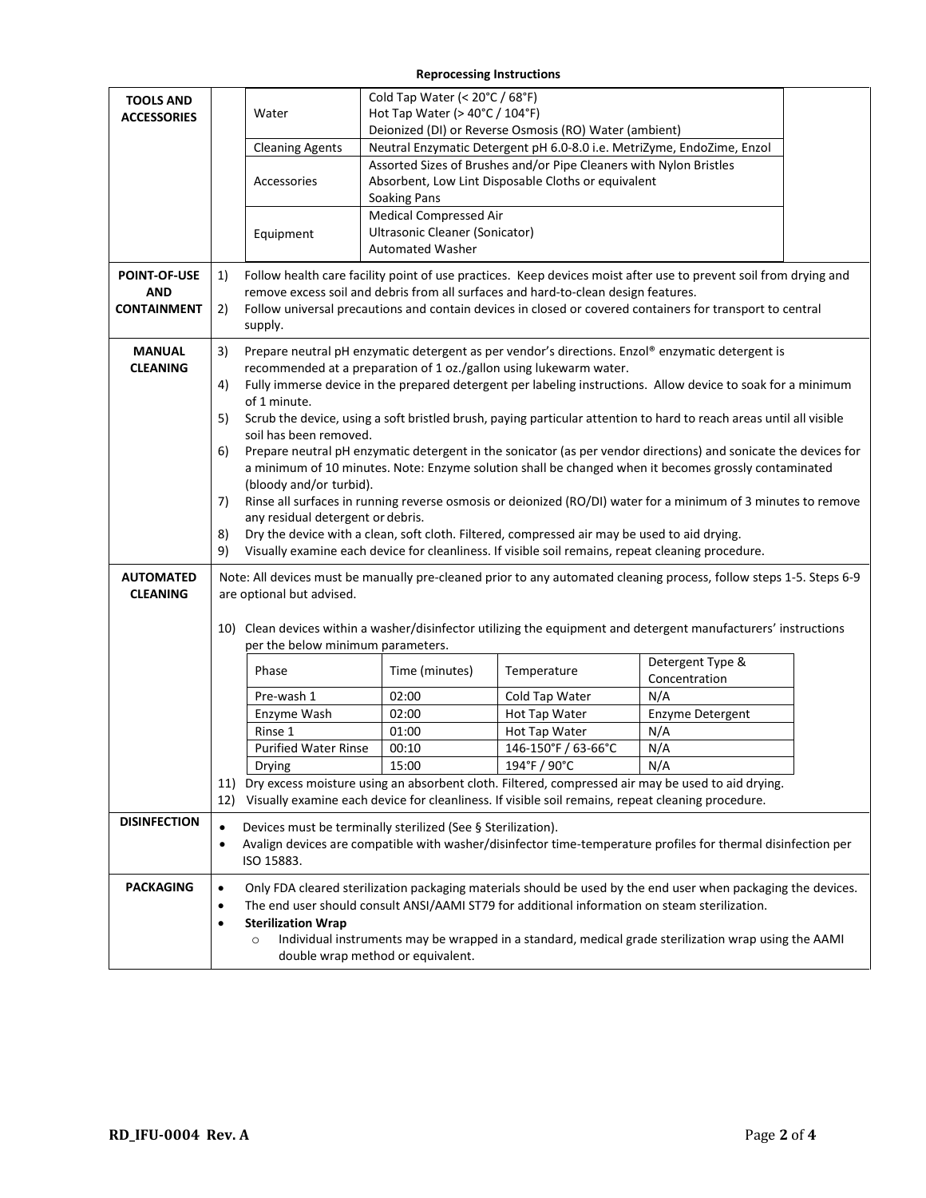#### **Reprocessing Instructions**

| <b>TOOLS AND</b><br><b>ACCESSORIES</b>                                  | Water<br><b>Cleaning Agents</b><br>Accessories<br>Equipment                                                                                                                                                                                                                                                                                                                                                                                                                                                                                                                                                                                                                                                                                                                                                                                                                                                                                                                                                                                                                                                                                                                                                                                                                                                                                                                                                                    | Cold Tap Water (< 20°C / 68°F)<br>Hot Tap Water ( $>$ 40 $^{\circ}$ C / 104 $^{\circ}$ F)<br><b>Soaking Pans</b><br><b>Medical Compressed Air</b><br>Ultrasonic Cleaner (Sonicator)<br><b>Automated Washer</b>                                                                                                      | Deionized (DI) or Reverse Osmosis (RO) Water (ambient)<br>Assorted Sizes of Brushes and/or Pipe Cleaners with Nylon Bristles<br>Absorbent, Low Lint Disposable Cloths or equivalent | Neutral Enzymatic Detergent pH 6.0-8.0 i.e. MetriZyme, EndoZime, Enzol                                                                                                                     |  |  |
|-------------------------------------------------------------------------|--------------------------------------------------------------------------------------------------------------------------------------------------------------------------------------------------------------------------------------------------------------------------------------------------------------------------------------------------------------------------------------------------------------------------------------------------------------------------------------------------------------------------------------------------------------------------------------------------------------------------------------------------------------------------------------------------------------------------------------------------------------------------------------------------------------------------------------------------------------------------------------------------------------------------------------------------------------------------------------------------------------------------------------------------------------------------------------------------------------------------------------------------------------------------------------------------------------------------------------------------------------------------------------------------------------------------------------------------------------------------------------------------------------------------------|---------------------------------------------------------------------------------------------------------------------------------------------------------------------------------------------------------------------------------------------------------------------------------------------------------------------|-------------------------------------------------------------------------------------------------------------------------------------------------------------------------------------|--------------------------------------------------------------------------------------------------------------------------------------------------------------------------------------------|--|--|
| <b>POINT-OF-USE</b><br><b>AND</b><br><b>CONTAINMENT</b>                 | 1)<br>2)<br>supply.                                                                                                                                                                                                                                                                                                                                                                                                                                                                                                                                                                                                                                                                                                                                                                                                                                                                                                                                                                                                                                                                                                                                                                                                                                                                                                                                                                                                            | Follow health care facility point of use practices. Keep devices moist after use to prevent soil from drying and<br>remove excess soil and debris from all surfaces and hard-to-clean design features.<br>Follow universal precautions and contain devices in closed or covered containers for transport to central |                                                                                                                                                                                     |                                                                                                                                                                                            |  |  |
| <b>MANUAL</b><br><b>CLEANING</b><br><b>AUTOMATED</b><br><b>CLEANING</b> | Prepare neutral pH enzymatic detergent as per vendor's directions. Enzol® enzymatic detergent is<br>3)<br>recommended at a preparation of 1 oz./gallon using lukewarm water.<br>Fully immerse device in the prepared detergent per labeling instructions. Allow device to soak for a minimum<br>4)<br>of 1 minute.<br>5)<br>Scrub the device, using a soft bristled brush, paying particular attention to hard to reach areas until all visible<br>soil has been removed.<br>Prepare neutral pH enzymatic detergent in the sonicator (as per vendor directions) and sonicate the devices for<br>6)<br>a minimum of 10 minutes. Note: Enzyme solution shall be changed when it becomes grossly contaminated<br>(bloody and/or turbid).<br>Rinse all surfaces in running reverse osmosis or deionized (RO/DI) water for a minimum of 3 minutes to remove<br>7)<br>any residual detergent or debris.<br>Dry the device with a clean, soft cloth. Filtered, compressed air may be used to aid drying.<br>8)<br>9)<br>Visually examine each device for cleanliness. If visible soil remains, repeat cleaning procedure.<br>Note: All devices must be manually pre-cleaned prior to any automated cleaning process, follow steps 1-5. Steps 6-9<br>are optional but advised.<br>10) Clean devices within a washer/disinfector utilizing the equipment and detergent manufacturers' instructions<br>per the below minimum parameters. |                                                                                                                                                                                                                                                                                                                     |                                                                                                                                                                                     |                                                                                                                                                                                            |  |  |
|                                                                         | Phase<br>Pre-wash 1<br>Enzyme Wash<br>Rinse 1<br><b>Purified Water Rinse</b><br>Drying                                                                                                                                                                                                                                                                                                                                                                                                                                                                                                                                                                                                                                                                                                                                                                                                                                                                                                                                                                                                                                                                                                                                                                                                                                                                                                                                         | Time (minutes)<br>02:00<br>02:00<br>01:00<br>00:10<br>15:00<br>12) Visually examine each device for cleanliness. If visible soil remains, repeat cleaning procedure.                                                                                                                                                | Temperature<br>Cold Tap Water<br>Hot Tap Water<br>Hot Tap Water<br>146-150°F / 63-66°C<br>$194^{\circ}$ F / 90 $^{\circ}$ C                                                         | Detergent Type &<br>Concentration<br>N/A<br>Enzyme Detergent<br>N/A<br>N/A<br>N/A<br>11) Dry excess moisture using an absorbent cloth. Filtered, compressed air may be used to aid drying. |  |  |
| <b>DISINFECTION</b>                                                     | Devices must be terminally sterilized (See § Sterilization).<br>$\bullet$<br>Avalign devices are compatible with washer/disinfector time-temperature profiles for thermal disinfection per<br>$\bullet$<br>ISO 15883.                                                                                                                                                                                                                                                                                                                                                                                                                                                                                                                                                                                                                                                                                                                                                                                                                                                                                                                                                                                                                                                                                                                                                                                                          |                                                                                                                                                                                                                                                                                                                     |                                                                                                                                                                                     |                                                                                                                                                                                            |  |  |
| <b>PACKAGING</b>                                                        | Only FDA cleared sterilization packaging materials should be used by the end user when packaging the devices.<br>$\bullet$<br>The end user should consult ANSI/AAMI ST79 for additional information on steam sterilization.<br>$\bullet$<br><b>Sterilization Wrap</b><br>$\bullet$<br>Individual instruments may be wrapped in a standard, medical grade sterilization wrap using the AAMI<br>$\circ$<br>double wrap method or equivalent.                                                                                                                                                                                                                                                                                                                                                                                                                                                                                                                                                                                                                                                                                                                                                                                                                                                                                                                                                                                     |                                                                                                                                                                                                                                                                                                                     |                                                                                                                                                                                     |                                                                                                                                                                                            |  |  |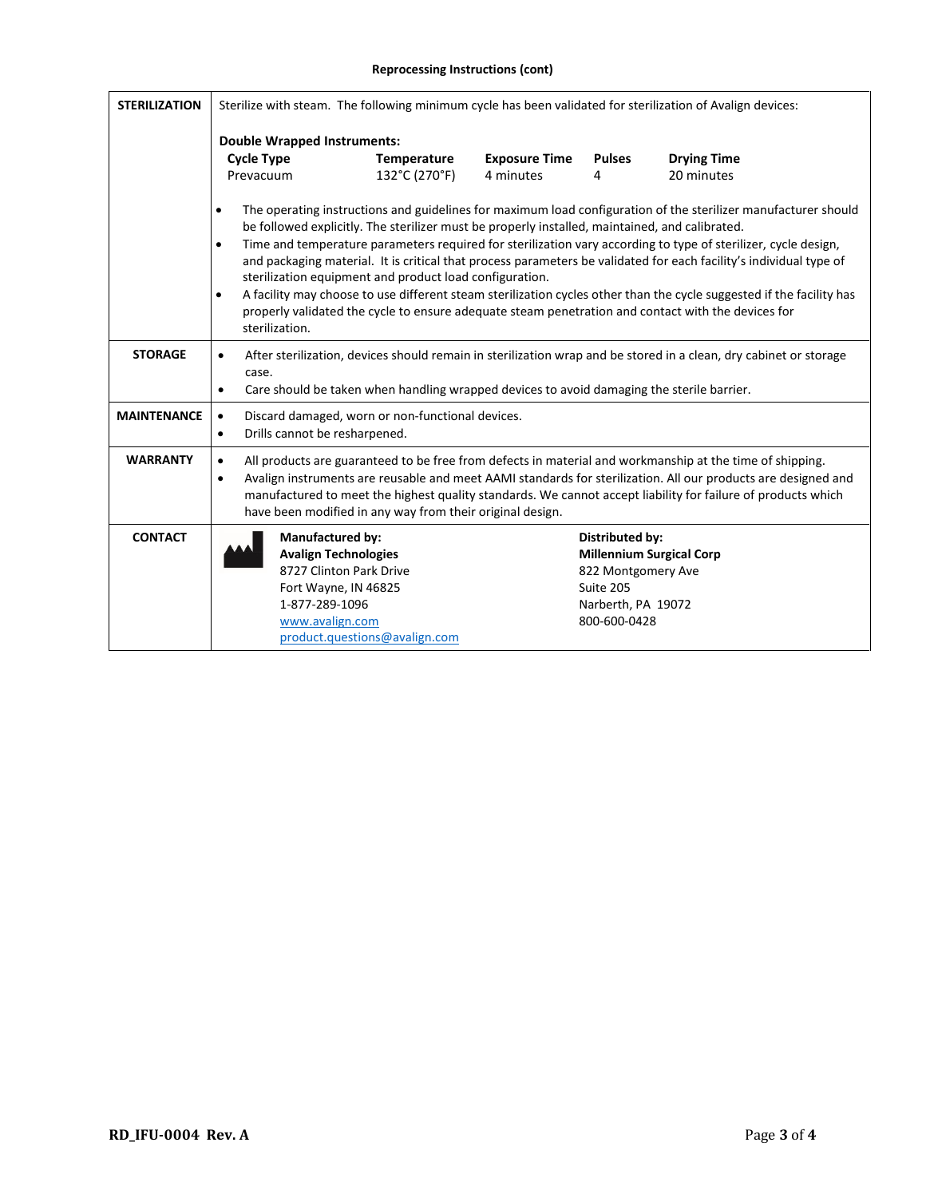#### **Reprocessing Instructions (cont)**

| <b>STERILIZATION</b> | Sterilize with steam. The following minimum cycle has been validated for sterilization of Avalign devices:                                                                                                                                                                                                                                                                                                                                                                                                                                                                                                                                                                                                                                                                                         |                               |                                   |                                                                                                 |                                  |
|----------------------|----------------------------------------------------------------------------------------------------------------------------------------------------------------------------------------------------------------------------------------------------------------------------------------------------------------------------------------------------------------------------------------------------------------------------------------------------------------------------------------------------------------------------------------------------------------------------------------------------------------------------------------------------------------------------------------------------------------------------------------------------------------------------------------------------|-------------------------------|-----------------------------------|-------------------------------------------------------------------------------------------------|----------------------------------|
|                      | <b>Double Wrapped Instruments:</b>                                                                                                                                                                                                                                                                                                                                                                                                                                                                                                                                                                                                                                                                                                                                                                 |                               |                                   |                                                                                                 |                                  |
|                      | <b>Cycle Type</b><br>Prevacuum                                                                                                                                                                                                                                                                                                                                                                                                                                                                                                                                                                                                                                                                                                                                                                     | Temperature<br>132°C (270°F)  | <b>Exposure Time</b><br>4 minutes | <b>Pulses</b><br>4                                                                              | <b>Drying Time</b><br>20 minutes |
|                      | The operating instructions and guidelines for maximum load configuration of the sterilizer manufacturer should<br>٠<br>be followed explicitly. The sterilizer must be properly installed, maintained, and calibrated.<br>Time and temperature parameters required for sterilization vary according to type of sterilizer, cycle design,<br>$\bullet$<br>and packaging material. It is critical that process parameters be validated for each facility's individual type of<br>sterilization equipment and product load configuration.<br>A facility may choose to use different steam sterilization cycles other than the cycle suggested if the facility has<br>$\bullet$<br>properly validated the cycle to ensure adequate steam penetration and contact with the devices for<br>sterilization. |                               |                                   |                                                                                                 |                                  |
| <b>STORAGE</b>       | After sterilization, devices should remain in sterilization wrap and be stored in a clean, dry cabinet or storage<br>$\bullet$<br>case.<br>Care should be taken when handling wrapped devices to avoid damaging the sterile barrier.<br>٠                                                                                                                                                                                                                                                                                                                                                                                                                                                                                                                                                          |                               |                                   |                                                                                                 |                                  |
| <b>MAINTENANCE</b>   | Discard damaged, worn or non-functional devices.<br>$\bullet$<br>Drills cannot be resharpened.<br>$\bullet$                                                                                                                                                                                                                                                                                                                                                                                                                                                                                                                                                                                                                                                                                        |                               |                                   |                                                                                                 |                                  |
| <b>WARRANTY</b>      | All products are guaranteed to be free from defects in material and workmanship at the time of shipping.<br>$\bullet$<br>Avalign instruments are reusable and meet AAMI standards for sterilization. All our products are designed and<br>$\bullet$<br>manufactured to meet the highest quality standards. We cannot accept liability for failure of products which<br>have been modified in any way from their original design.                                                                                                                                                                                                                                                                                                                                                                   |                               |                                   |                                                                                                 |                                  |
| <b>CONTACT</b>       | <b>Manufactured by:</b><br><b>Avalign Technologies</b><br>8727 Clinton Park Drive<br>Fort Wayne, IN 46825<br>1-877-289-1096<br>www.avalign.com                                                                                                                                                                                                                                                                                                                                                                                                                                                                                                                                                                                                                                                     | product.questions@avalign.com |                                   | <b>Distributed by:</b><br>822 Montgomery Ave<br>Suite 205<br>Narberth, PA 19072<br>800-600-0428 | <b>Millennium Surgical Corp</b>  |